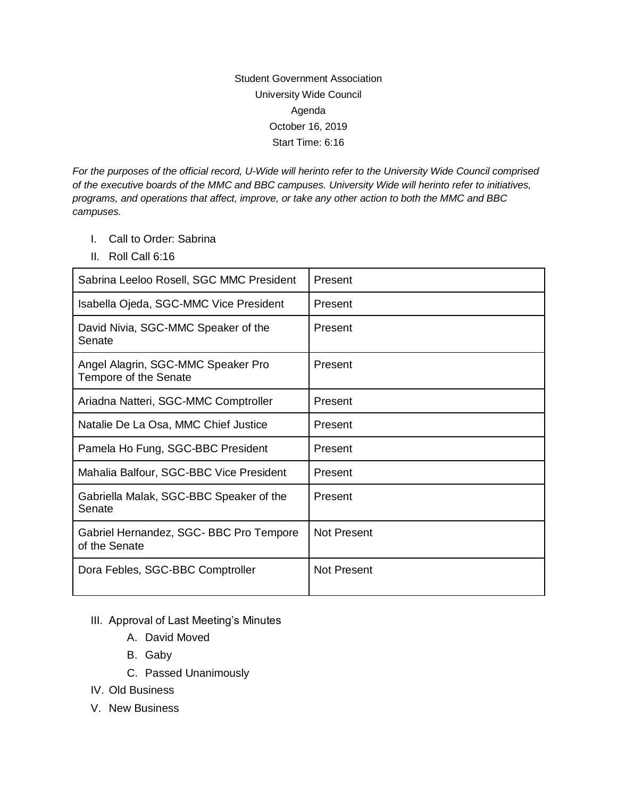## Student Government Association University Wide Council Agenda October 16, 2019 Start Time: 6:16

*For the purposes of the official record, U-Wide will herinto refer to the University Wide Council comprised of the executive boards of the MMC and BBC campuses. University Wide will herinto refer to initiatives, programs, and operations that affect, improve, or take any other action to both the MMC and BBC campuses.* 

- I. Call to Order: Sabrina
- II. Roll Call 6:16

| Sabrina Leeloo Rosell, SGC MMC President                    | Present            |
|-------------------------------------------------------------|--------------------|
| Isabella Ojeda, SGC-MMC Vice President                      | Present            |
| David Nivia, SGC-MMC Speaker of the<br>Senate               | Present            |
| Angel Alagrin, SGC-MMC Speaker Pro<br>Tempore of the Senate | Present            |
| Ariadna Natteri, SGC-MMC Comptroller                        | Present            |
| Natalie De La Osa, MMC Chief Justice                        | Present            |
| Pamela Ho Fung, SGC-BBC President                           | Present            |
| Mahalia Balfour, SGC-BBC Vice President                     | Present            |
| Gabriella Malak, SGC-BBC Speaker of the<br>Senate           | Present            |
| Gabriel Hernandez, SGC- BBC Pro Tempore<br>of the Senate    | <b>Not Present</b> |
| Dora Febles, SGC-BBC Comptroller                            | Not Present        |

## III. Approval of Last Meeting's Minutes

- A. David Moved
- B. Gaby
- C. Passed Unanimously
- IV. Old Business
- V. New Business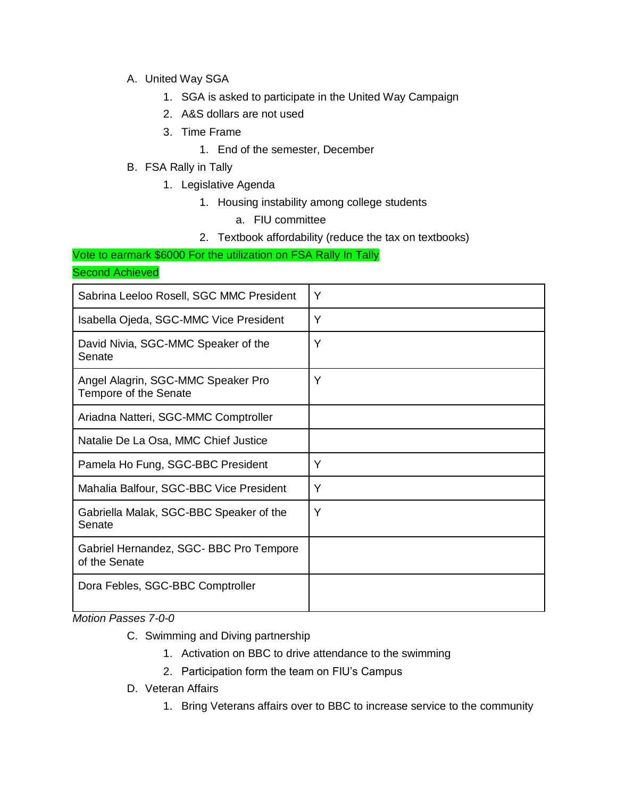- A. United Way SGA
	- 1. SGA is asked to participate in the United Way Campaign
	- 2. A&S dollars are not used
	- 3. Time Frame
		- 1. End of the semester, December
- B. FSA Rally in Tally
	- 1. Legislative Agenda
		- 1. Housing instability among college students
			- a. FIU committee
		- 2. Textbook affordability (reduce the tax on textbooks)

Vote to earmark \$6000 For the utilization on FSA Rally In Tally

Second Achieved

| Sabrina Leeloo Rosell, SGC MMC President                    | Y |
|-------------------------------------------------------------|---|
| Isabella Ojeda, SGC-MMC Vice President                      | Y |
| David Nivia, SGC-MMC Speaker of the<br>Senate               | Y |
| Angel Alagrin, SGC-MMC Speaker Pro<br>Tempore of the Senate | Y |
| Ariadna Natteri, SGC-MMC Comptroller                        |   |
| Natalie De La Osa, MMC Chief Justice                        |   |
| Pamela Ho Fung, SGC-BBC President                           | Y |
| Mahalia Balfour, SGC-BBC Vice President                     | Y |
| Gabriella Malak, SGC-BBC Speaker of the<br>Senate           | Y |
| Gabriel Hernandez, SGC- BBC Pro Tempore<br>of the Senate    |   |
| Dora Febles, SGC-BBC Comptroller                            |   |

*Motion Passes 7-0-0*

- C. Swimming and Diving partnership
	- 1. Activation on BBC to drive attendance to the swimming
	- 2. Participation form the team on FIU's Campus
- D. Veteran Affairs
	- 1. Bring Veterans affairs over to BBC to increase service to the community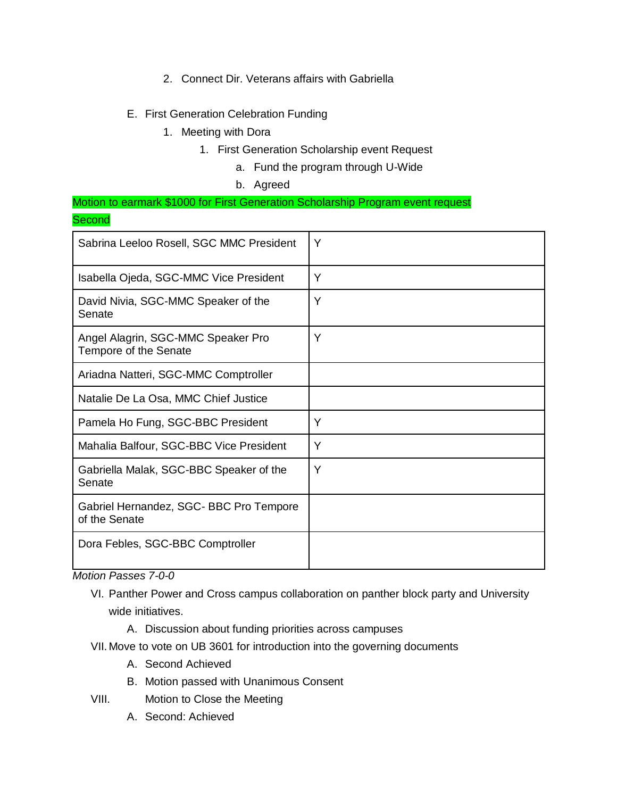- 2. Connect Dir. Veterans affairs with Gabriella
- E. First Generation Celebration Funding
	- 1. Meeting with Dora
		- 1. First Generation Scholarship event Request
			- a. Fund the program through U-Wide
			- b. Agreed

Motion to earmark \$1000 for First Generation Scholarship Program event request **Second** 

| Sabrina Leeloo Rosell, SGC MMC President                    | Y |
|-------------------------------------------------------------|---|
| Isabella Ojeda, SGC-MMC Vice President                      | Y |
| David Nivia, SGC-MMC Speaker of the<br>Senate               | Y |
| Angel Alagrin, SGC-MMC Speaker Pro<br>Tempore of the Senate | Y |
| Ariadna Natteri, SGC-MMC Comptroller                        |   |
| Natalie De La Osa, MMC Chief Justice                        |   |
| Pamela Ho Fung, SGC-BBC President                           | Y |
| Mahalia Balfour, SGC-BBC Vice President                     | Y |
| Gabriella Malak, SGC-BBC Speaker of the<br>Senate           | Y |
| Gabriel Hernandez, SGC- BBC Pro Tempore<br>of the Senate    |   |
| Dora Febles, SGC-BBC Comptroller                            |   |

*Motion Passes 7-0-0*

- VI. Panther Power and Cross campus collaboration on panther block party and University wide initiatives.
	- A. Discussion about funding priorities across campuses
- VII. Move to vote on UB 3601 for introduction into the governing documents
	- A. Second Achieved
	- B. Motion passed with Unanimous Consent
- VIII. Motion to Close the Meeting
	- A. Second: Achieved